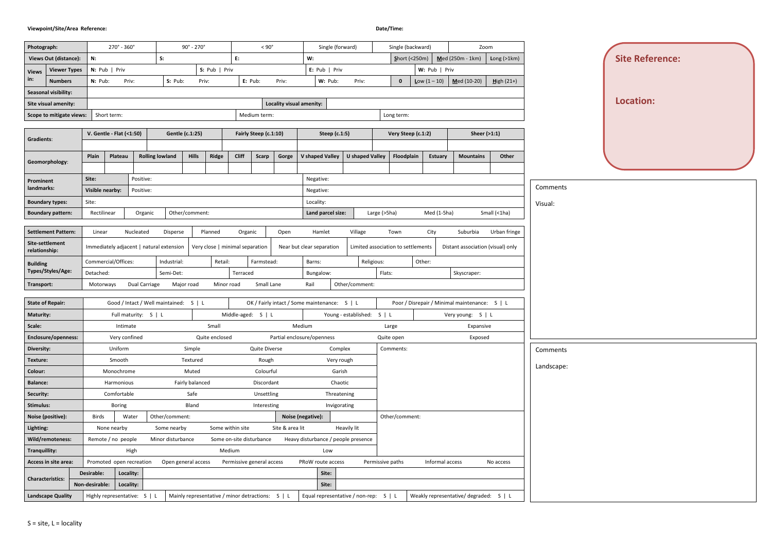# **Viewpoint/Site/Area Reference: Date/Time:**

| Photograph:                      |                             |                 | $270^{\circ}$ - $360^{\circ}$ |                              |                                          | $90^{\circ}$ - 270 $^{\circ}$ |                |                                 | $< 90^{\circ}$                                   |                          |                                              | Single (forward)           |                        |                  | Single (backward)                  |                       | Zoom                                          |              |
|----------------------------------|-----------------------------|-----------------|-------------------------------|------------------------------|------------------------------------------|-------------------------------|----------------|---------------------------------|--------------------------------------------------|--------------------------|----------------------------------------------|----------------------------|------------------------|------------------|------------------------------------|-----------------------|-----------------------------------------------|--------------|
| <b>Views Out (distance):</b>     |                             | N:              |                               |                              | S:                                       |                               |                | E:                              |                                                  |                          | W:                                           |                            |                        |                  | $S$ hort (<250m)                   |                       | Med (250m - 1km)<br>Long $(>1km)$             |              |
| <b>Views</b>                     | <b>Viewer Types</b>         |                 | N: Pub   Prix                 |                              |                                          |                               | S: Pub   Priv  |                                 |                                                  |                          | E: Pub   Prix                                |                            |                        |                  |                                    | W: Pub   Priv         |                                               |              |
| in:                              | <b>Numbers</b>              | N: Pub:         |                               | Priv:                        | S: Pub:                                  | Priv:                         |                |                                 | E: Pub:                                          | Priv:                    | W: Pub:                                      |                            | Priv:                  |                  | $\mathbf{0}$                       | <b>Low</b> $(1 - 10)$ | $M$ ed (10-20)                                | $High (21+)$ |
|                                  | Seasonal visibility:        |                 |                               |                              |                                          |                               |                |                                 |                                                  |                          |                                              |                            |                        |                  |                                    |                       |                                               |              |
|                                  | <b>Site visual amenity:</b> |                 |                               |                              |                                          |                               |                |                                 |                                                  | Locality visual amenity: |                                              |                            |                        |                  |                                    |                       |                                               |              |
|                                  | Scope to mitigate views:    |                 | Short term:                   |                              |                                          |                               |                |                                 | Medium term:                                     |                          |                                              |                            |                        |                  | Long term:                         |                       |                                               |              |
|                                  |                             |                 |                               |                              |                                          |                               |                |                                 |                                                  |                          |                                              |                            |                        |                  |                                    |                       |                                               |              |
| Gradients:                       |                             |                 | V. Gentle - Flat (<1:50)      |                              |                                          | Gentle (c.1:25)               |                |                                 | Fairly Steep (c.1:10)                            |                          |                                              | Steep (c.1:5)              |                        |                  | Very Steep (c.1:2)                 |                       | Sheer (>1:1)                                  |              |
|                                  |                             |                 |                               |                              |                                          |                               |                |                                 |                                                  |                          |                                              |                            |                        |                  |                                    |                       |                                               |              |
| Geomorphology:                   |                             | Plain           | Plateau                       |                              | <b>Rolling lowland</b>                   | <b>Hills</b>                  | <b>Ridge</b>   | <b>Cliff</b>                    | Scarp                                            | Gorge                    | V shaped Valley                              |                            | <b>U</b> shaped Valley |                  | Floodplain                         | Estuary               | <b>Mountains</b>                              | Other        |
|                                  |                             |                 |                               |                              |                                          |                               |                |                                 |                                                  |                          |                                              |                            |                        |                  |                                    |                       |                                               |              |
| Prominent                        |                             | Site:           |                               | Positive:                    |                                          |                               |                |                                 |                                                  |                          | Negative:                                    |                            |                        |                  |                                    |                       |                                               |              |
| landmarks:                       |                             | Visible nearby: |                               | Positive:                    |                                          |                               |                |                                 |                                                  |                          | Negative:                                    |                            |                        |                  |                                    |                       |                                               |              |
| <b>Boundary types:</b>           |                             | Site:           |                               |                              |                                          |                               |                |                                 |                                                  |                          | Locality:                                    |                            |                        |                  |                                    |                       |                                               |              |
|                                  | <b>Boundary pattern:</b>    | Rectilinear     |                               | Organic                      |                                          | Other/comment:                |                |                                 |                                                  |                          | Land parcel size:                            |                            |                        | Large (>5ha)     |                                    | Med (1-5ha)           |                                               | Small (<1ha) |
|                                  |                             |                 |                               |                              |                                          |                               |                |                                 |                                                  |                          |                                              |                            |                        |                  |                                    |                       |                                               |              |
|                                  | <b>Settlement Pattern:</b>  | Linear          |                               | Nucleated                    | <b>Disperse</b>                          |                               | Planned        | Organic                         |                                                  | Open                     | Hamlet                                       |                            | Village                |                  | Town                               | City                  | Suburbia                                      | Urban fringe |
| Site-settlement<br>relationship: |                             |                 |                               |                              | Immediately adjacent   natural extension |                               |                | Very close   minimal separation |                                                  |                          | Near but clear separation                    |                            |                        |                  | Limited association to settlements |                       | Distant association (visual) only             |              |
| <b>Building</b>                  |                             |                 | Commercial/Offices:           |                              | Industrial:                              |                               | Retail:        |                                 | Farmstead:                                       |                          | Barns:                                       |                            | Religious:             |                  |                                    | Other:                |                                               |              |
|                                  | Types/Styles/Age:           | Detached:       |                               |                              | Semi-Det:                                |                               |                | Terraced                        |                                                  |                          | Bungalow:                                    |                            |                        | Flats:           |                                    |                       | Skyscraper:                                   |              |
| Transport:                       |                             | Motorways       |                               | Dual Carriage                |                                          | Major road                    |                | Minor road                      | Small Lane                                       |                          | Rail                                         |                            | Other/comment:         |                  |                                    |                       |                                               |              |
|                                  |                             |                 |                               |                              |                                          |                               |                |                                 |                                                  |                          |                                              |                            |                        |                  |                                    |                       |                                               |              |
| <b>State of Repair:</b>          |                             |                 |                               |                              | Good / Intact / Well maintained: S   L   |                               |                |                                 |                                                  |                          | OK / Fairly intact / Some maintenance: S   L |                            |                        |                  |                                    |                       | Poor / Disrepair / Minimal maintenance: S   L |              |
| <b>Maturity:</b>                 |                             |                 |                               | Full maturity: S   L         |                                          |                               |                | Middle-aged: S   L              |                                                  |                          |                                              | Young - established: S   L |                        |                  |                                    |                       | Very young: S   L                             |              |
| Scale:                           |                             |                 | Intimate                      |                              |                                          |                               | Small          |                                 |                                                  |                          | Medium                                       |                            |                        | Large            |                                    |                       | Expansive                                     |              |
|                                  | <b>Enclosure/openness:</b>  |                 | Very confined                 |                              |                                          |                               | Quite enclosed |                                 |                                                  |                          | Partial enclosure/openness                   |                            |                        | Quite open       |                                    |                       | Exposed                                       |              |
| Diversity:                       |                             |                 | Uniform                       |                              |                                          | Simple                        |                |                                 | <b>Quite Diverse</b>                             |                          |                                              | Complex                    |                        |                  | Comments:                          |                       |                                               |              |
| Texture:                         |                             |                 | Smooth                        |                              |                                          | Textured                      |                |                                 | Rough                                            |                          |                                              | Very rough                 |                        |                  |                                    |                       |                                               |              |
| Colour:                          |                             |                 | Monochrome                    |                              |                                          | Muted                         |                |                                 | Colourful                                        |                          |                                              | Garish                     |                        |                  |                                    |                       |                                               |              |
| <b>Balance:</b>                  |                             |                 | Harmonious                    |                              |                                          | Fairly balanced               |                |                                 | Discordant                                       |                          |                                              | Chaotic                    |                        |                  |                                    |                       |                                               |              |
| Security:                        |                             |                 | Comfortable                   |                              |                                          | Safe                          |                |                                 | Unsettling                                       |                          |                                              | Threatening                |                        |                  |                                    |                       |                                               |              |
| <b>Stimulus:</b>                 |                             |                 | <b>Boring</b>                 |                              |                                          | Bland                         |                |                                 | Interesting                                      |                          |                                              | Invigorating               |                        |                  |                                    |                       |                                               |              |
| Noise (positive):                |                             | <b>Birds</b>    |                               | Water                        | Other/comment:                           |                               |                |                                 |                                                  |                          | Noise (negative):                            |                            |                        |                  | Other/comment:                     |                       |                                               |              |
| Lighting:                        |                             |                 | None nearby                   |                              | Some nearby                              |                               |                | Some within site                |                                                  | Site & area lit          |                                              | Heavily lit                |                        |                  |                                    |                       |                                               |              |
|                                  | Wild/remoteness:            |                 | Remote / no people            |                              | Minor disturbance                        |                               |                | Some on-site disturbance        |                                                  |                          | Heavy disturbance / people presence          |                            |                        |                  |                                    |                       |                                               |              |
| Tranquillity:                    |                             |                 |                               | High                         |                                          |                               |                | Medium                          |                                                  |                          | Low                                          |                            |                        |                  |                                    |                       |                                               |              |
|                                  | Access in site area:        |                 |                               | Promoted open recreation     | Open general access                      |                               |                | Permissive general access       |                                                  |                          | PRoW route access                            |                            |                        | Permissive paths |                                    | Informal access       |                                               | No access    |
|                                  |                             | Desirable:      |                               | Locality:                    |                                          |                               |                |                                 |                                                  |                          | Site:                                        |                            |                        |                  |                                    |                       |                                               |              |
| <b>Characteristics:</b>          |                             | Non-desirable:  |                               | Locality:                    |                                          |                               |                |                                 |                                                  |                          | Site:                                        |                            |                        |                  |                                    |                       |                                               |              |
|                                  | <b>Landscape Quality</b>    |                 |                               | Highly representative: S   L |                                          |                               |                |                                 | Mainly representative / minor detractions: S   L |                          | Equal representative / non-rep: S   L        |                            |                        |                  |                                    |                       | Weakly representative/ degraded: S   L        |              |